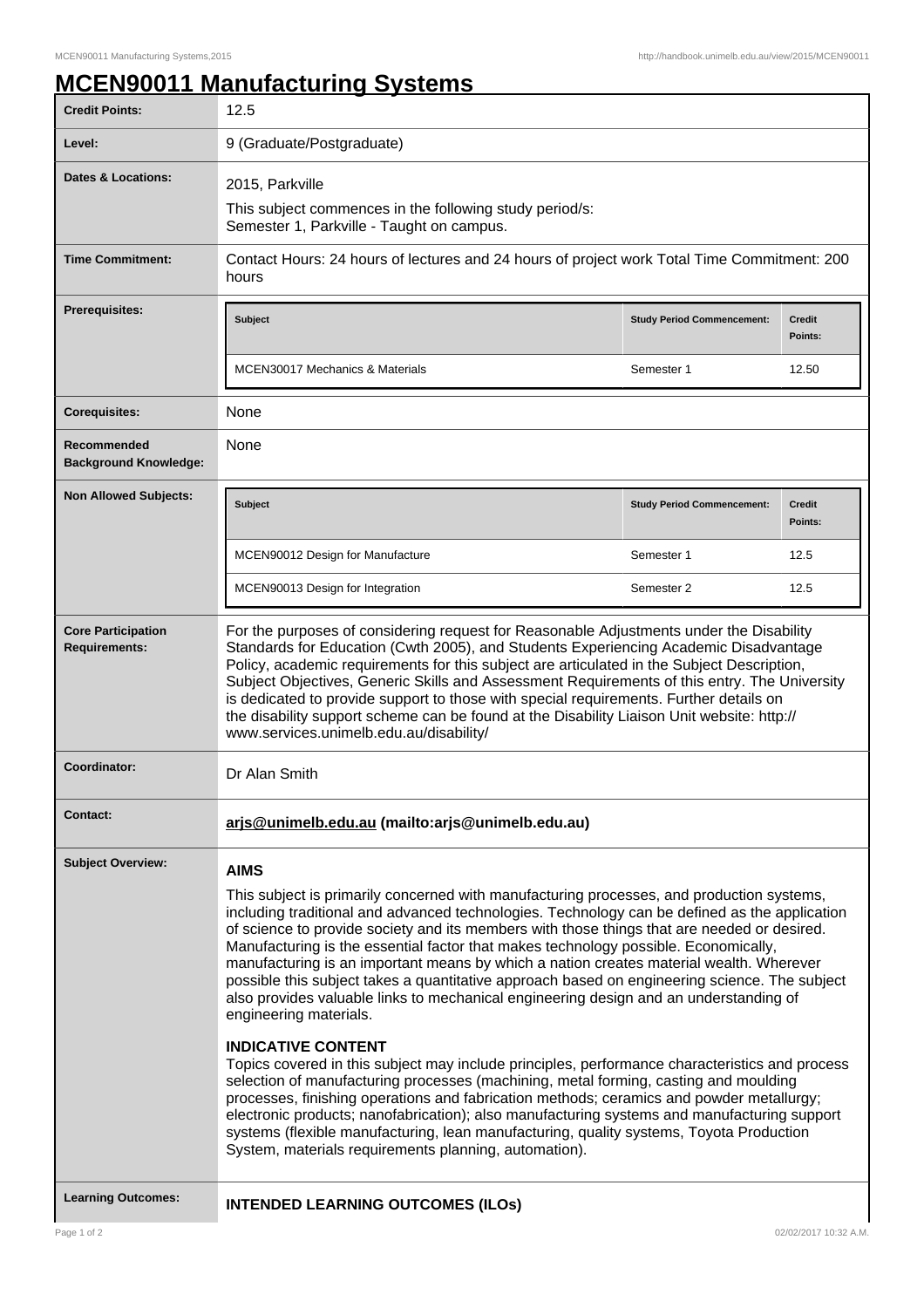## **MCEN90011 Manufacturing Systems**

| <b>Credit Points:</b>                             | 12.5                                                                                                                                                                                                                                                                                                                                                                                                                                                                                                                                                                                                                                                                                                                                                                                                                                                                                                                                                                                                                                                                                                                                                                                                                                                                                 |                                   |                          |
|---------------------------------------------------|--------------------------------------------------------------------------------------------------------------------------------------------------------------------------------------------------------------------------------------------------------------------------------------------------------------------------------------------------------------------------------------------------------------------------------------------------------------------------------------------------------------------------------------------------------------------------------------------------------------------------------------------------------------------------------------------------------------------------------------------------------------------------------------------------------------------------------------------------------------------------------------------------------------------------------------------------------------------------------------------------------------------------------------------------------------------------------------------------------------------------------------------------------------------------------------------------------------------------------------------------------------------------------------|-----------------------------------|--------------------------|
| Level:                                            | 9 (Graduate/Postgraduate)                                                                                                                                                                                                                                                                                                                                                                                                                                                                                                                                                                                                                                                                                                                                                                                                                                                                                                                                                                                                                                                                                                                                                                                                                                                            |                                   |                          |
| <b>Dates &amp; Locations:</b>                     | 2015, Parkville<br>This subject commences in the following study period/s:<br>Semester 1, Parkville - Taught on campus.                                                                                                                                                                                                                                                                                                                                                                                                                                                                                                                                                                                                                                                                                                                                                                                                                                                                                                                                                                                                                                                                                                                                                              |                                   |                          |
| <b>Time Commitment:</b>                           | Contact Hours: 24 hours of lectures and 24 hours of project work Total Time Commitment: 200<br>hours                                                                                                                                                                                                                                                                                                                                                                                                                                                                                                                                                                                                                                                                                                                                                                                                                                                                                                                                                                                                                                                                                                                                                                                 |                                   |                          |
| <b>Prerequisites:</b>                             | Subject                                                                                                                                                                                                                                                                                                                                                                                                                                                                                                                                                                                                                                                                                                                                                                                                                                                                                                                                                                                                                                                                                                                                                                                                                                                                              | <b>Study Period Commencement:</b> | <b>Credit</b><br>Points: |
|                                                   | <b>MCEN30017 Mechanics &amp; Materials</b>                                                                                                                                                                                                                                                                                                                                                                                                                                                                                                                                                                                                                                                                                                                                                                                                                                                                                                                                                                                                                                                                                                                                                                                                                                           | Semester 1                        | 12.50                    |
| <b>Corequisites:</b>                              | None                                                                                                                                                                                                                                                                                                                                                                                                                                                                                                                                                                                                                                                                                                                                                                                                                                                                                                                                                                                                                                                                                                                                                                                                                                                                                 |                                   |                          |
| Recommended<br><b>Background Knowledge:</b>       | None                                                                                                                                                                                                                                                                                                                                                                                                                                                                                                                                                                                                                                                                                                                                                                                                                                                                                                                                                                                                                                                                                                                                                                                                                                                                                 |                                   |                          |
| <b>Non Allowed Subjects:</b>                      | <b>Subject</b>                                                                                                                                                                                                                                                                                                                                                                                                                                                                                                                                                                                                                                                                                                                                                                                                                                                                                                                                                                                                                                                                                                                                                                                                                                                                       | <b>Study Period Commencement:</b> | <b>Credit</b><br>Points: |
|                                                   | MCEN90012 Design for Manufacture                                                                                                                                                                                                                                                                                                                                                                                                                                                                                                                                                                                                                                                                                                                                                                                                                                                                                                                                                                                                                                                                                                                                                                                                                                                     | Semester 1                        | 12.5                     |
|                                                   | MCEN90013 Design for Integration                                                                                                                                                                                                                                                                                                                                                                                                                                                                                                                                                                                                                                                                                                                                                                                                                                                                                                                                                                                                                                                                                                                                                                                                                                                     | Semester 2                        | 12.5                     |
| <b>Core Participation</b><br><b>Requirements:</b> | For the purposes of considering request for Reasonable Adjustments under the Disability<br>Standards for Education (Cwth 2005), and Students Experiencing Academic Disadvantage<br>Policy, academic requirements for this subject are articulated in the Subject Description,<br>Subject Objectives, Generic Skills and Assessment Requirements of this entry. The University<br>is dedicated to provide support to those with special requirements. Further details on<br>the disability support scheme can be found at the Disability Liaison Unit website: http://<br>www.services.unimelb.edu.au/disability/                                                                                                                                                                                                                                                                                                                                                                                                                                                                                                                                                                                                                                                                     |                                   |                          |
| Coordinator:                                      | Dr Alan Smith                                                                                                                                                                                                                                                                                                                                                                                                                                                                                                                                                                                                                                                                                                                                                                                                                                                                                                                                                                                                                                                                                                                                                                                                                                                                        |                                   |                          |
| <b>Contact:</b>                                   | arjs@unimelb.edu.au (mailto:arjs@unimelb.edu.au)                                                                                                                                                                                                                                                                                                                                                                                                                                                                                                                                                                                                                                                                                                                                                                                                                                                                                                                                                                                                                                                                                                                                                                                                                                     |                                   |                          |
| <b>Subject Overview:</b>                          | <b>AIMS</b><br>This subject is primarily concerned with manufacturing processes, and production systems,<br>including traditional and advanced technologies. Technology can be defined as the application<br>of science to provide society and its members with those things that are needed or desired.<br>Manufacturing is the essential factor that makes technology possible. Economically,<br>manufacturing is an important means by which a nation creates material wealth. Wherever<br>possible this subject takes a quantitative approach based on engineering science. The subject<br>also provides valuable links to mechanical engineering design and an understanding of<br>engineering materials.<br><b>INDICATIVE CONTENT</b><br>Topics covered in this subject may include principles, performance characteristics and process<br>selection of manufacturing processes (machining, metal forming, casting and moulding<br>processes, finishing operations and fabrication methods; ceramics and powder metallurgy;<br>electronic products; nanofabrication); also manufacturing systems and manufacturing support<br>systems (flexible manufacturing, lean manufacturing, quality systems, Toyota Production<br>System, materials requirements planning, automation). |                                   |                          |
| <b>Learning Outcomes:</b>                         | <b>INTENDED LEARNING OUTCOMES (ILOS)</b>                                                                                                                                                                                                                                                                                                                                                                                                                                                                                                                                                                                                                                                                                                                                                                                                                                                                                                                                                                                                                                                                                                                                                                                                                                             |                                   |                          |